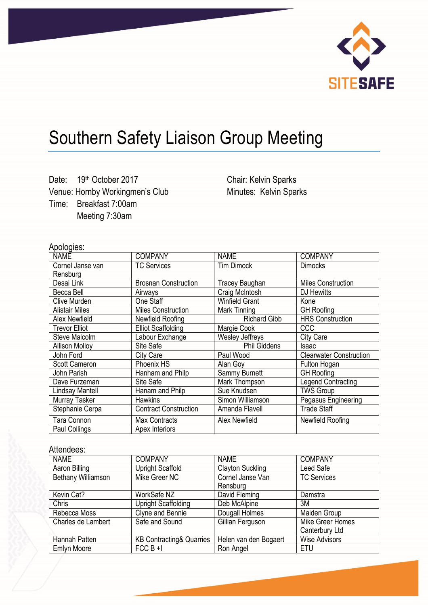

## Southern Safety Liaison Group Meeting

Date: 19th October 2017 Venue: Hornby Workingmen's Club Time: Breakfast 7:00am Meeting 7:30am

Chair: Kelvin Sparks Minutes: Kelvin Sparks

## Apologies:

| יינייט<br><b>NAME</b> | <b>COMPANY</b>               | <b>NAME</b>            | <b>COMPANY</b>                 |
|-----------------------|------------------------------|------------------------|--------------------------------|
| Cornel Janse van      | <b>TC Services</b>           | <b>Tim Dimock</b>      | <b>Dimocks</b>                 |
| Rensburg              |                              |                        |                                |
| Desai Link            | <b>Brosnan Construction</b>  | Tracey Baughan         | <b>Miles Construction</b>      |
| Becca Bell            | Airways                      | Craig McIntosh         | DJ Hewitts                     |
| Clive Murden          | One Staff                    | <b>Winfield Grant</b>  | Kone                           |
| <b>Alistair Miles</b> | <b>Miles Construction</b>    | Mark Tinning           | <b>GH</b> Roofing              |
| Alex Newfield         | Newfield Roofing             | <b>Richard Gibb</b>    | <b>HRS Construction</b>        |
| <b>Trevor Elliot</b>  | <b>Elliot Scaffolding</b>    | Margie Cook            | <b>CCC</b>                     |
| Steve Malcolm         | Labour Exchange              | <b>Wesley Jeffreys</b> | <b>City Care</b>               |
| <b>Allison Molloy</b> | Site Safe                    | <b>Phil Giddens</b>    | Isaac                          |
| John Ford             | City Care                    | Paul Wood              | <b>Clearwater Construction</b> |
| <b>Scott Cameron</b>  | Phoenix HS                   | Alan Goy               | Fulton Hogan                   |
| John Parish           | Hanham and Philp             | Sammy Burnett          | <b>GH</b> Roofing              |
| Dave Furzeman         | Site Safe                    | Mark Thompson          | <b>Legend Contracting</b>      |
| Lindsay Mantell       | Hanam and Philp              | Sue Knudsen            | <b>TWS Group</b>               |
| Murray Tasker         | <b>Hawkins</b>               | Simon Williamson       | Pegasus Engineering            |
| Stephanie Cerpa       | <b>Contract Construction</b> | Amanda Flavell         | <b>Trade Staff</b>             |
| Tara Connon           | <b>Max Contracts</b>         | Alex Newfield          | Newfield Roofing               |
| Paul Collings         | Apex Interiors               |                        |                                |

## Attendees:

| <b>NAME</b>        | <b>COMPANY</b>                      | <b>NAME</b>             | <b>COMPANY</b>       |
|--------------------|-------------------------------------|-------------------------|----------------------|
| Aaron Billing      | <b>Upright Scaffold</b>             | <b>Clayton Suckling</b> | Leed Safe            |
| Bethany Williamson | Mike Greer NC                       | Cornel Janse Van        | <b>TC Services</b>   |
|                    |                                     | Rensburg                |                      |
| Kevin Cat?         | WorkSafe NZ                         | David Fleming           | Damstra              |
| <b>Chris</b>       | <b>Upright Scaffolding</b>          | Deb McAlpine            | ЗM                   |
| Rebecca Moss       | Clyne and Bennie                    | Dougall Holmes          | Maiden Group         |
| Charles de Lambert | Safe and Sound                      | Gillian Ferguson        | Mike Greer Homes     |
|                    |                                     |                         | Canterbury Ltd       |
| Hannah Patten      | <b>KB Contracting&amp; Quarries</b> | Helen van den Bogaert   | <b>Wise Advisors</b> |
| <b>Emlyn Moore</b> | $FCCB + I$                          | Ron Angel               | ETU                  |